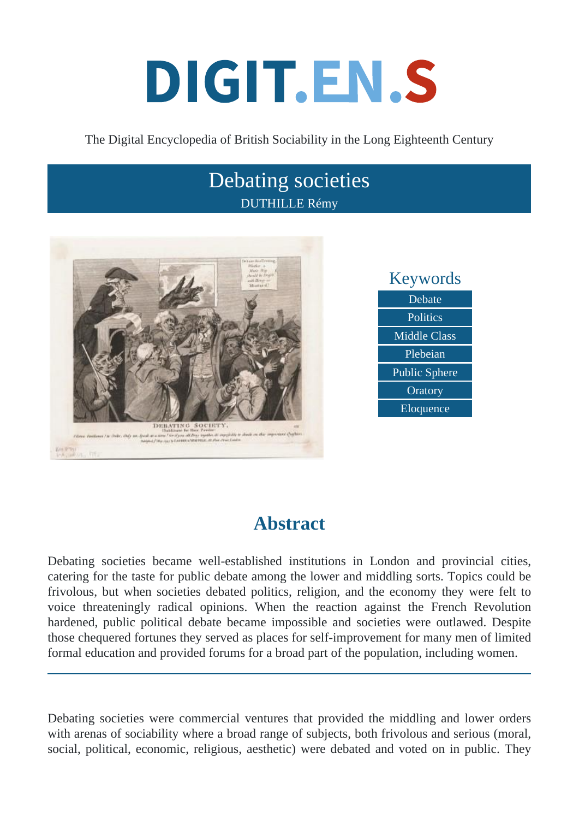# DIGIT.EN.S

### The Digital Encyclopedia of British Sociability in the Long Eighteenth Century

# Debating societies DUTHILLE Rémy



# **Abstract**

Debating societies became well-established institutions in London and provincial cities, catering for the taste for public debate among the lower and middling sorts. Topics could be frivolous, but when societies debated politics, religion, and the economy they were felt to voice threateningly radical opinions. When the reaction against the French Revolution hardened, public political debate became impossible and societies were outlawed. Despite those chequered fortunes they served as places for self-improvement for many men of limited formal education and provided forums for a broad part of the population, including women.

Debating societies were commercial ventures that provided the middling and lower orders with arenas of sociability where a broad range of subjects, both frivolous and serious (moral, social, political, economic, religious, aesthetic) were debated and voted on in public. They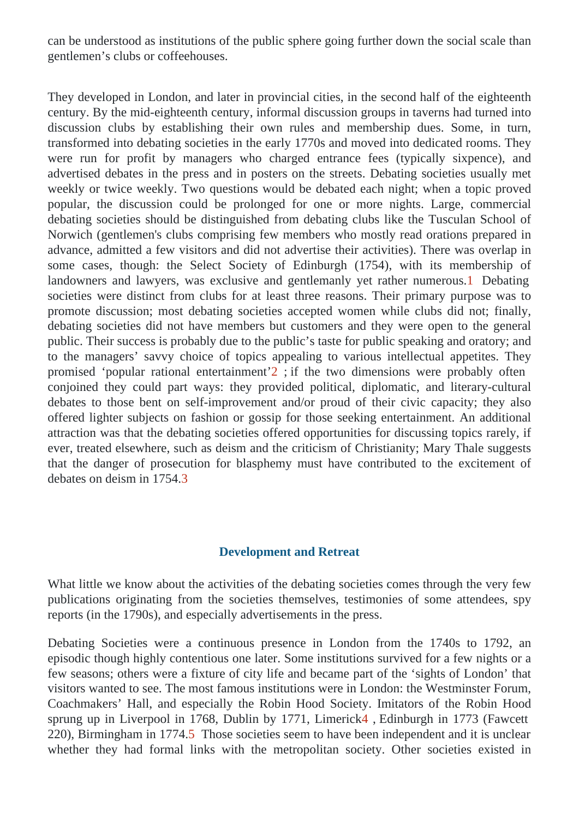can be understood as institutions of the public sphere going further down the social scale than gentlemen's clubs or coffeehouses.

They developed in London, and later in provincial cities, in the second half of the eighteenth century. By the mid-eighteenth century, informal discussion groups in taverns had turned into discussion clubs by establishing their own rules and membership dues. Some, in turn, transformed into debating societies in the early 1770s and moved into dedicated rooms. They were run for profit by managers who charged entrance fees (typically sixpence), and advertised debates in the press and in posters on the streets. Debating societies usually m weekly or twice weekly. Two questions would be debated each night; when a topic proved popular, the discussion could be prolonged for one or more nights. Large, commercial debating societies should be distinguished from debating clubs like the Tusculan School of Norwich (gentlemen's clubs comprising few members who mostly read orations prepared in advance, admitted a few visitors and did not advertise their activities). There was overlap in some cases, though: the Select Society of Edinburgh (1754), with its membership of landowners and lawyers, was exclusive and gentlemanly yet rather numnel beden sting societies were distinct from clubs for at least three reasons. Their primary purpose was to promote discussion; most debating societies accepted women while clubs did not; finally, debating societies did not have members but customers and they were open to the general public. Their success is probably due to the public's taste for public speaking and oratory; and to the managers' savvy choice of topics appealing to various intellectual appetites. They promised 'popular rational entertainment' if the two dimensions were probably often conjoined they could part ways: they provided political, diplomatic, and literary-cultural debates to those bent on self-improvement and/or proud of their civic capacity; they also offered lighter subjects on fashion or gossip for those seeking entertainment. An additional attraction was that the debating societies offered opportunities for discussing topics rarely, if ever, treated elsewhere, such as deism and the criticism of Christianity; Mary Thale suggests that the danger of prosecution for blasphemy must have contributed to the excitement of debates on deism in 1754.

#### Development and Retreat

What little we know about the activities of the debating societies comes through the very few publications originating from the societies themselves, testimonies of some attendees, spy reports (in the 1790s), and especially advertisements in the press.

Debating Societies were a continuous presence in London from the 1740s to 1792, an episodic though highly contentious one later. Some institutions survived for a few nights or a few seasons; others were a fixture of city life and became part of the 'sights of London' that visitors wanted to see. The most famous institutions were in London: the Westminster Forum, Coachmakers' Hall, and especially the Robin Hood Society. Imitators of the Robin Hood sprung up in Liverpool in 1768, Dublin by 1771, Limerick Edinburgh in 1773 Rawcett 220), Birmingham in 177 $\Phi$ . Those societies seem to have been independent and it is unclear whether they had formal links with the metropolitan society. Other societies existed in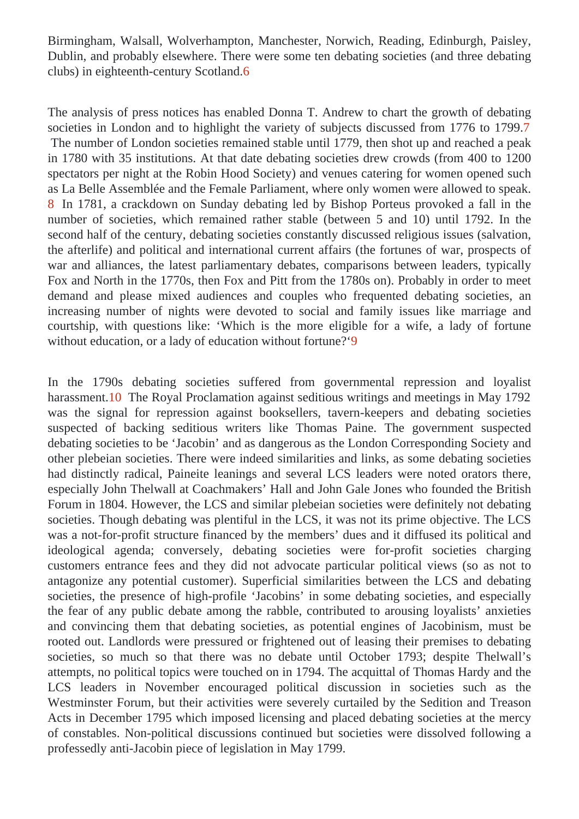Birmingham, Walsall, Wolverhampton, Manchester, Norwich, Reading, Edinburgh, Paisley, Dublin, and probably elsewhere. There were some ten debating societies (and three debating clubs) in eighteenth-century Scotland.

The analysis of press notices has enabled Donna T. Andrew to chart the growth of debating societies in London and to highlight the variety of subjects discussed from 1776 to 1799. The number of London societies remained stable until 1779, then shot up and reached a peak in 1780 with 35 institutions. At that date debating societies drew crowds (from 400 to 1200 spectators per night at the Robin Hood Society) and venues catering for women opened suc as La Belle Assemblée and the Female Parliament, where only women were allowed to speak 8 In 1781, a crackdown on Sunday debating led by Bishop Porteus provoked a fall in the number of societies, which remained rather stable (between 5 and 10) until 1792. In the second half of the century, debating societies constantly discussed religious issues (salvation, the afterlife) and political and international current affairs (the fortunes of war, prospects of war and alliances, the latest parliamentary debates, comparisons between leaders, typicall Fox and North in the 1770s, then Fox and Pitt from the 1780s on). Probably in order to meet demand and please mixed audiences and couples who frequented debating societies, and increasing number of nights were devoted to social and family issues like marriage and courtship, with questions like: 'Which is the more eligible for a wife, a lady of fortune without education, or a lady of education without fortuge?

In the 1790s debating societies suffered from governmental repression and loyalist harassment 0 The Royal Proclamation against seditious writings and meetings in May 1792 was the signal for repression against booksellers, tavern-keepers and debating societie suspected of backing seditious writers like Thomas Paine. The government suspected debating societies to be 'Jacobin' and as dangerous as the London Corresponding Society and other plebeian societies. There were indeed similarities and links, as some debating societie had distinctly radical, Paineite leanings and several LCS leaders were noted orators there especially John Thelwall at Coachmakers' Hall and John Gale Jones who founded the British Forum in 1804. However, the LCS and similar plebeian societies were definitely not debating societies. Though debating was plentiful in the LCS, it was not its prime objective. The LCS was a not-for-profit structure financed by the members' dues and it diffused its political and ideological agenda; conversely, debating societies were for-profit societies charging customers entrance fees and they did not advocate particular political views (so as not to antagonize any potential customer). Superficial similarities between the LCS and debating societies, the presence of high-profile 'Jacobins' in some debating societies, and especially the fear of any public debate among the rabble, contributed to arousing loyalists' anxieties and convincing them that debating societies, as potential engines of Jacobinism, must be rooted out. Landlords were pressured or frightened out of leasing their premises to debating societies, so much so that there was no debate until October 1793; despite Thelwall's attempts, no political topics were touched on in 1794. The acquittal of Thomas Hardy and the LCS leaders in November encouraged political discussion in societies such as the Westminster Forum, but their activities were severely curtailed by the Sedition and Treason Acts in December 1795 which imposed licensing and placed debating societies at the mercy of constables. Non-political discussions continued but societies were dissolved following a professedly anti-Jacobin piece of legislation in May 1799.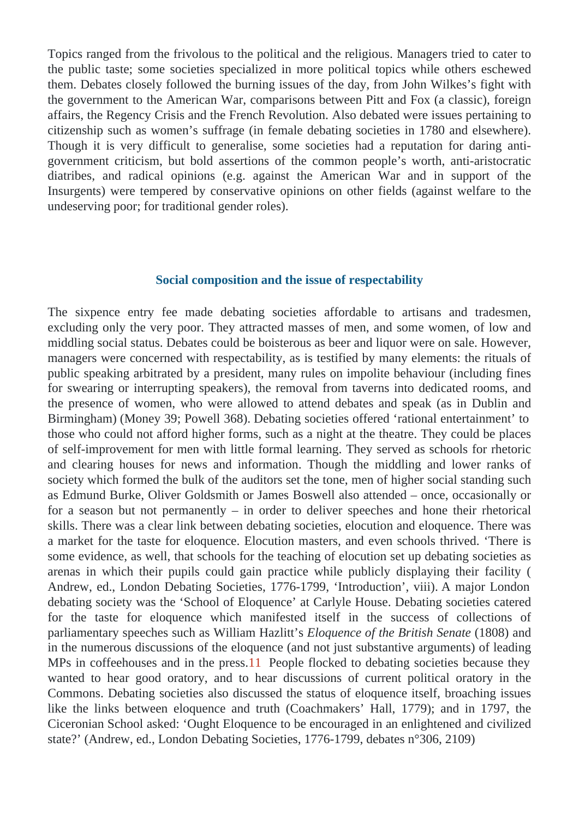Topics ranged from the frivolous to the political and the religious. Managers tried to cater to the public taste; some societies specialized in more political topics while others eschewed them. Debates closely followed the burning issues of the day, from John Wilkes's fight with the government to the American War, comparisons between Pitt and Fox (a classic), foreign affairs, the Regency Crisis and the French Revolution. Also debated were issues pertaining to citizenship such as women's suffrage (in female debating societies in 1780 and elsewhere). Though it is very difficult to generalise, some societies had a reputation for daring antigovernment criticism, but bold assertions of the common people's worth, anti-aristocratic diatribes, and radical opinions (e.g. against the American War and in support of the Insurgents) were tempered by conservative opinions on other fields (against welfare to the undeserving poor; for traditional gender roles).

#### Social composition and the issue of respectability

The sixpence entry fee made debating societies affordable to artisans and tradesmer excluding only the very poor. They attracted masses of men, and some women, of low and middling social status. Debates could be boisterous as beer and liquor were on sale. Howeve managers were concerned with respectability, as is testified by many elements: the rituals of public speaking arbitrated by a president, many rules on impolite behaviour (including fines for swearing or interrupting speakers), the removal from taverns into dedicated rooms, and the presence of women, who were allowed to attend debates and speak (as in Dublin and Birmingham) (Money 39; Powell 368) Debating societies offered 'rational entertainment' to those who could not afford higher forms, such as a night at the theatre. They could be place of self-improvement for men with little formal learning. They served as schools for rhetoric and clearing houses for news and information. Though the middling and lower ranks of society which formed the bulk of the auditors set the tone, men of higher social standing such as Edmund Burke, Oliver Goldsmith or James Boswell also attended – once, occasionally or for a season but not permanently  $-$  in order to deliver speeches and hone their rhetorical skills. There was a clear link between debating societies, elocution and eloquence. There wa a market for the taste for eloquence. Elocution masters, and even schools thrived. 'There is some evidence, as well, that schools for the teaching of elocution set up debating societies as arenas in which their pupils could gain practice while publicly displaying their facility ( Andrew, ed., London Debating Societies, 1776-1799, 'Introduction', Wiimajor London debating society was the 'School of Eloquence' at Carlyle House. Debating societies catered for the taste for eloquence which manifested itself in the success of collections of parliamentary speeches such as William Hazlet is equal to the British Senate 808) and in the numerous discussions of the eloquence (and not just substantive arguments) of leadin MPs in coffeehouses and in the press. People flocked to debating societies because they wanted to hear good oratory, and to hear discussions of current political oratory in the Commons. Debating societies also discussed the status of eloquence itself, broaching issue like the links between eloquence and truth (Coachmakers' Hall, 1779); and in 1797, the Ciceronian School asked: 'Ought Eloquence to be encouraged in an enlightened and civilized state?' Andrew, ed., London Debating Societies, 1776-1799, debates n°306, 2109)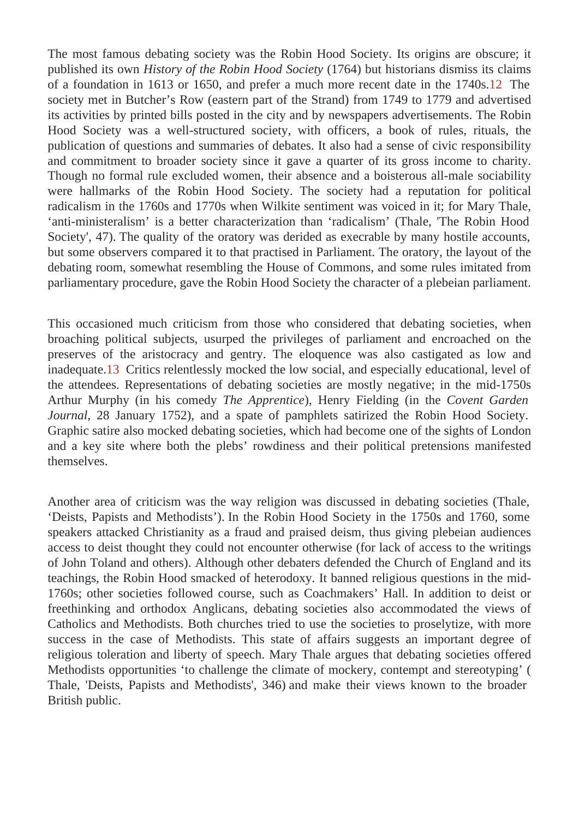The most famous debating society was the Robin Hood Society. Its origins are obscure; it published its own History of the Robin Hood Societ (1764) but historians dismiss its claims of a foundation in 1613 or 1650, and prefer a much more recent date in the  $2740$ s. society met in Butcher's Row (eastern part of the Strand) from 1749 to 1779 and advertised its activities by printed bills posted in the city and by newspapers advertisements. The Robin Hood Society was a well-structured society, with officers, a book of rules, rituals, the publication of questions and summaries of debates. It also had a sense of civic responsibility and commitment to broader society since it gave a quarter of its gross income to charity. Though no formal rule excluded women, their absence and a boisterous all-male sociability were hallmarks of the Robin Hood Society. The society had a reputation for political radicalism in the 1760s and 1770s when Wilkite sentiment was voiced in it; for Mary Thale, 'anti-ministeralism' is a better characterization than 'radicalis Thialle, 'The Robin Hood Society', 47). The quality of the oratory was derided as execrable by many hostile accounts, but some observers compared it to that practised in Parliament. The oratory, the layout of the debating room, somewhat resembling the House of Commons, and some rules imitated from parliamentary procedure, gave the Robin Hood Society the character of a plebeian parliament

This occasioned much criticism from those who considered that debating societies, when broaching political subjects, usurped the privileges of parliament and encroached on the preserves of the aristocracy and gentry. The eloquence was also castigated as low an inadequate.<sup>3</sup> Critics relentlessly mocked the low social, and especially educational, level of the attendees. Representations of debating societies are mostly negative; in the mid-1750 Arthur Murphy (in his comedy The Apprentice Henry Fielding (in the Covent Garden Journal, 28 January 1752), and a spate of pamphlets satirized the Robin Hood Society. Graphic satire also mocked debating societies, which had become one of the sights of London and a key site where both the plebs' rowdiness and their political pretensions manifested themselves.

Another area of criticism was the way religion was discussed in debating socletials, ( 'Deists, Papists and Methodists in the Robin Hood Society in the 1750s and 1760, some speakers attacked Christianity as a fraud and praised deism, thus giving plebeian audience access to deist thought they could not encounter otherwise (for lack of access to the writings of John Toland and others). Although other debaters defended the Church of England and its teachings, the Robin Hood smacked of heterodoxy. It banned religious questions in the mid-1760s; other societies followed course, such as Coachmakers' Hall. In addition to deist or freethinking and orthodox Anglicans, debating societies also accommodated the views of Catholics and Methodists. Both churches tried to use the societies to proselytize, with more success in the case of Methodists. This state of affairs suggests an important degree of religious toleration and liberty of speech. Mary Thale argues that debating societies offered Methodists opportunities 'to challenge the climate of mockery, contempt and stereotyping' ( Thale, 'Deists, Papists and Methodists', 3466) make their views known to the broader British public.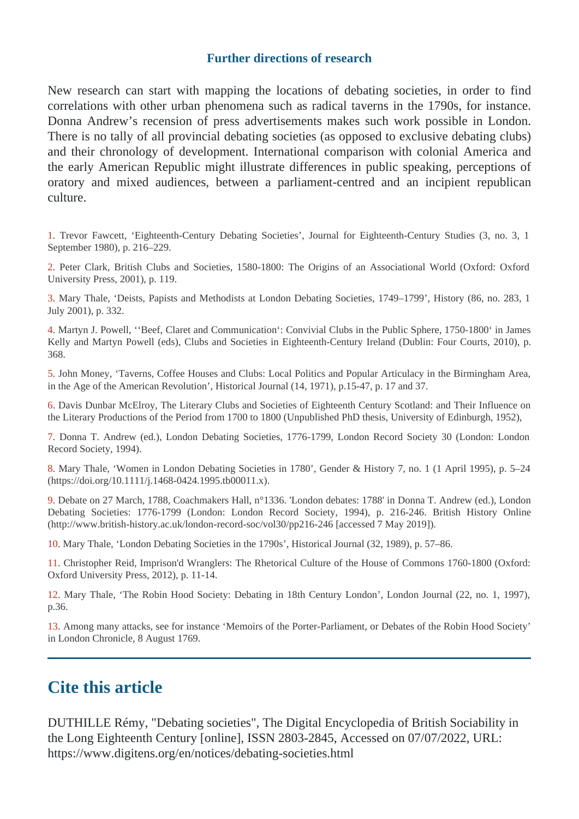#### **Further directions of research**

New research can start with mapping the locations of debating societies, in order to find correlations with other urban phenomena such as radical taverns in the 1790s, for instance. Donna Andrew's recension of press advertisements makes such work possible in London. There is no tally of all provincial debating societies (as opposed to exclusive debating clubs) and their chronology of development. International comparison with colonial America and the early American Republic might illustrate differences in public speaking, perceptions of oratory and mixed audiences, between a parliament-centred and an incipient republican culture.

1. Trevor Fawcett, 'Eighteenth-Century Debating Societies', Journal for Eighteenth-Century Studies (3, no. 3, 1 September 1980), p. 216–229.

2. Peter Clark, British Clubs and Societies, 1580-1800: The Origins of an Associational World (Oxford: Oxford University Press, 2001), p. 119.

3. Mary Thale, 'Deists, Papists and Methodists at London Debating Societies, 1749–1799', History (86, no. 283, 1 July 2001), p. 332.

4. Martyn J. Powell, ''Beef, Claret and Communication': Convivial Clubs in the Public Sphere, 1750-1800' in James Kelly and Martyn Powell (eds), Clubs and Societies in Eighteenth-Century Ireland (Dublin: Four Courts, 2010), p. 368.

5. John Money, 'Taverns, Coffee Houses and Clubs: Local Politics and Popular Articulacy in the Birmingham Area, in the Age of the American Revolution', Historical Journal (14, 1971), p.15-47, p. 17 and 37.

6. Davis Dunbar McElroy, The Literary Clubs and Societies of Eighteenth Century Scotland: and Their Influence on the Literary Productions of the Period from 1700 to 1800 (Unpublished PhD thesis, University of Edinburgh, 1952),

7. Donna T. Andrew (ed.), London Debating Societies, 1776-1799, London Record Society 30 (London: London Record Society, 1994).

8. Mary Thale, 'Women in London Debating Societies in 1780', Gender & History 7, no. 1 (1 April 1995), p. 5–24 (https://doi.org/10.1111/j.1468-0424.1995.tb00011.x).

9. Debate on 27 March, 1788, Coachmakers Hall, n°1336. 'London debates: 1788' in Donna T. Andrew (ed.), London Debating Societies: 1776-1799 (London: London Record Society, 1994), p. 216-246. British History Online (http://www.british-history.ac.uk/london-record-soc/vol30/pp216-246 [accessed 7 May 2019]).

10. Mary Thale, 'London Debating Societies in the 1790s', Historical Journal (32, 1989), p. 57–86.

11. Christopher Reid, Imprison'd Wranglers: The Rhetorical Culture of the House of Commons 1760-1800 (Oxford: Oxford University Press, 2012), p. 11-14.

12. Mary Thale, 'The Robin Hood Society: Debating in 18th Century London', London Journal (22, no. 1, 1997), p.36.

13. Among many attacks, see for instance 'Memoirs of the Porter-Parliament, or Debates of the Robin Hood Society' in London Chronicle, 8 August 1769.

## **Cite this article**

DUTHILLE Rémy, "Debating societies", The Digital Encyclopedia of British Sociability in the Long Eighteenth Century [online], ISSN 2803-2845, Accessed on 07/07/2022, URL: https://www.digitens.org/en/notices/debating-societies.html